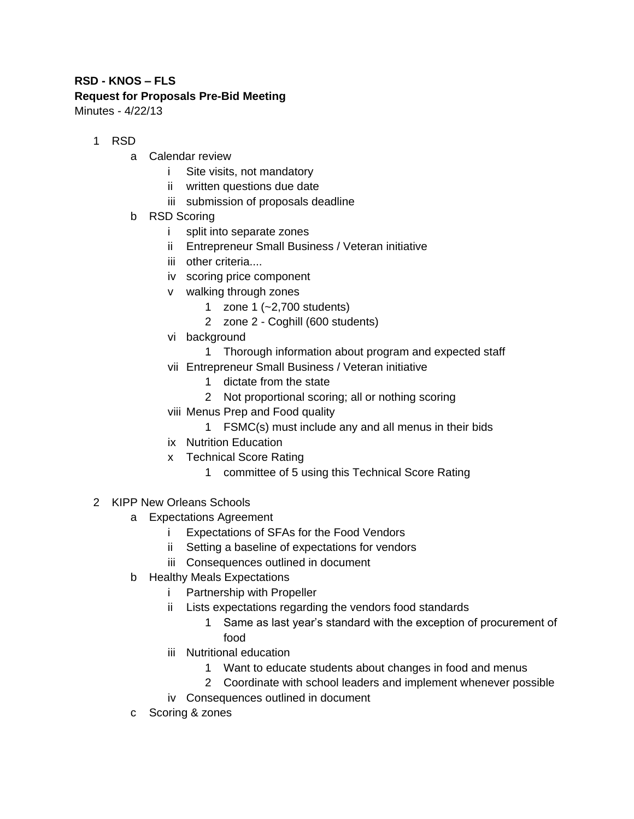## **RSD - KNOS – FLS Request for Proposals Pre-Bid Meeting** Minutes - 4/22/13

1 RSD

- a Calendar review
	- i Site visits, not mandatory
	- ii written questions due date
	- iii submission of proposals deadline
- b RSD Scoring
	- i split into separate zones
	- ii Entrepreneur Small Business / Veteran initiative
	- iii other criteria....
	- iv scoring price component
	- v walking through zones
		- 1 zone 1 (~2,700 students)
		- 2 zone 2 Coghill (600 students)
	- vi background
		- 1 Thorough information about program and expected staff
	- vii Entrepreneur Small Business / Veteran initiative
		- 1 dictate from the state
		- 2 Not proportional scoring; all or nothing scoring
	- viii Menus Prep and Food quality
		- 1 FSMC(s) must include any and all menus in their bids
	- ix Nutrition Education
	- x Technical Score Rating
		- 1 committee of 5 using this Technical Score Rating
- 2 KIPP New Orleans Schools
	- a Expectations Agreement
		- i Expectations of SFAs for the Food Vendors
		- ii Setting a baseline of expectations for vendors
		- iii Consequences outlined in document
	- b Healthy Meals Expectations
		- i Partnership with Propeller
		- ii Lists expectations regarding the vendors food standards
			- 1 Same as last year's standard with the exception of procurement of food
		- iii Nutritional education
			- 1 Want to educate students about changes in food and menus
			- 2 Coordinate with school leaders and implement whenever possible
		- iv Consequences outlined in document
	- c Scoring & zones